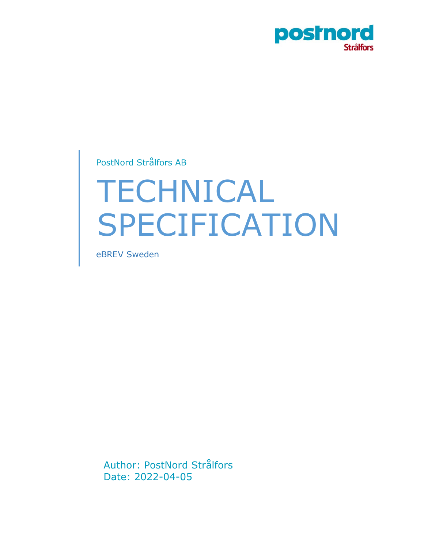

PostNord Strålfors AB

# TECHNICAL SPECIFICATION

eBREV Sweden

Author: PostNord Strålfors Date: 2022-04-05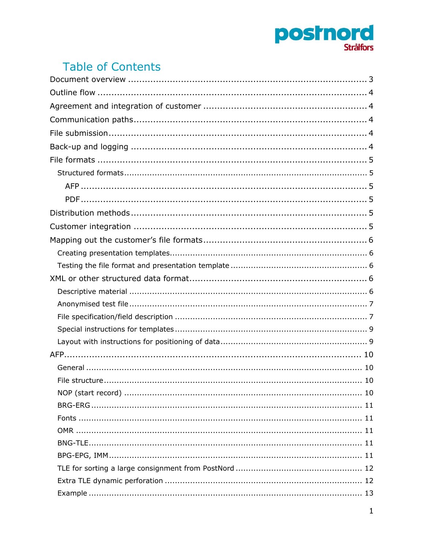

# **Table of Contents**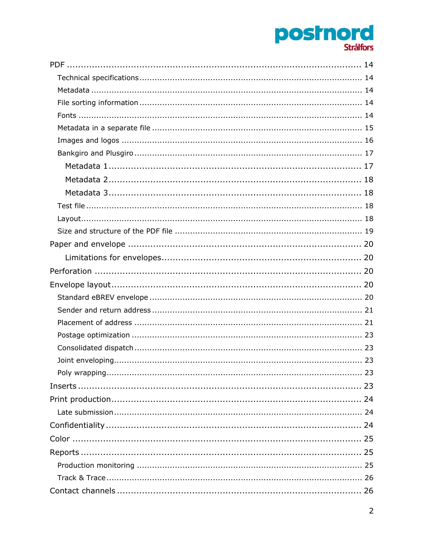# **postnord**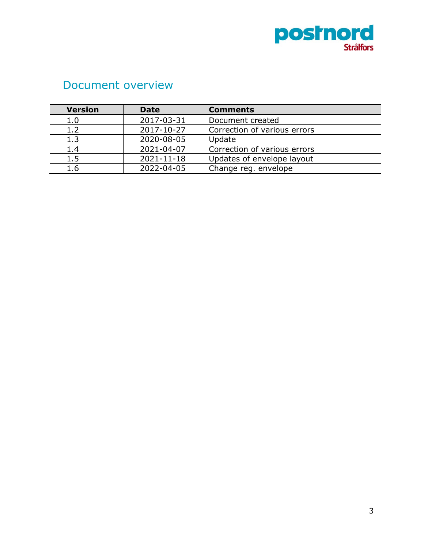

# <span id="page-3-0"></span>Document overview

| <b>Version</b> | <b>Date</b> | <b>Comments</b>              |
|----------------|-------------|------------------------------|
| 1.0            | 2017-03-31  | Document created             |
| 1.2            | 2017-10-27  | Correction of various errors |
| 1.3            | 2020-08-05  | Update                       |
| 1.4            | 2021-04-07  | Correction of various errors |
| 1.5            | 2021-11-18  | Updates of envelope layout   |
| 1.6            | 2022-04-05  | Change reg. envelope         |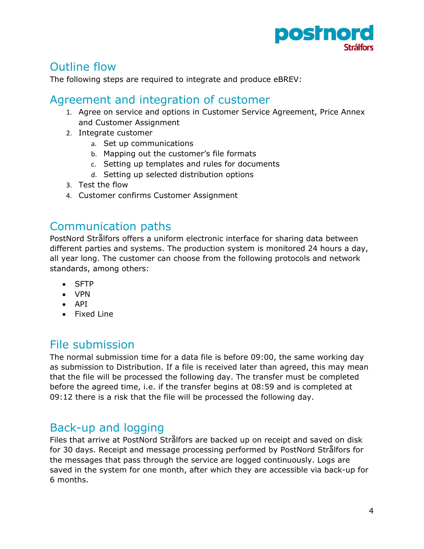

# <span id="page-4-0"></span>Outline flow

The following steps are required to integrate and produce eBREV:

## <span id="page-4-1"></span>Agreement and integration of customer

- 1. Agree on service and options in Customer Service Agreement, Price Annex and Customer Assignment
- 2. Integrate customer
	- a. Set up communications
	- b. Mapping out the customer's file formats
	- c. Setting up templates and rules for documents
	- d. Setting up selected distribution options
- 3. Test the flow
- 4. Customer confirms Customer Assignment

## <span id="page-4-2"></span>Communication paths

PostNord Strålfors offers a uniform electronic interface for sharing data between different parties and systems. The production system is monitored 24 hours a day, all year long. The customer can choose from the following protocols and network standards, among others:

- SFTP
- VPN
- API
- Fixed Line

## <span id="page-4-3"></span>File submission

The normal submission time for a data file is before 09:00, the same working day as submission to Distribution. If a file is received later than agreed, this may mean that the file will be processed the following day. The transfer must be completed before the agreed time, i.e. if the transfer begins at 08:59 and is completed at 09:12 there is a risk that the file will be processed the following day.

# <span id="page-4-4"></span>Back-up and logging

Files that arrive at PostNord Strålfors are backed up on receipt and saved on disk for 30 days. Receipt and message processing performed by PostNord Strålfors for the messages that pass through the service are logged continuously. Logs are saved in the system for one month, after which they are accessible via back-up for 6 months.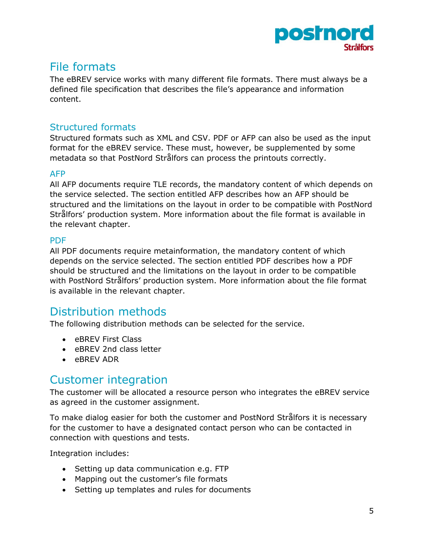

## <span id="page-5-0"></span>File formats

The eBREV service works with many different file formats. There must always be a defined file specification that describes the file's appearance and information content.

#### <span id="page-5-1"></span>Structured formats

Structured formats such as XML and CSV. PDF or AFP can also be used as the input format for the eBREV service. These must, however, be supplemented by some metadata so that PostNord Strålfors can process the printouts correctly.

#### <span id="page-5-2"></span>AFP

All AFP documents require TLE records, the mandatory content of which depends on the service selected. The section entitled AFP describes how an AFP should be structured and the limitations on the layout in order to be compatible with PostNord Strålfors' production system. More information about the file format is available in the relevant chapter.

#### <span id="page-5-3"></span>PDF

All PDF documents require metainformation, the mandatory content of which depends on the service selected. The section entitled PDF describes how a PDF should be structured and the limitations on the layout in order to be compatible with PostNord Strålfors' production system. More information about the file format is available in the relevant chapter.

## <span id="page-5-4"></span>Distribution methods

The following distribution methods can be selected for the service.

- eBREV First Class
- eBREV 2nd class letter
- eBREV ADR

## <span id="page-5-5"></span>Customer integration

The customer will be allocated a resource person who integrates the eBREV service as agreed in the customer assignment.

To make dialog easier for both the customer and PostNord Strålfors it is necessary for the customer to have a designated contact person who can be contacted in connection with questions and tests.

Integration includes:

- Setting up data communication e.g. FTP
- Mapping out the customer's file formats
- Setting up templates and rules for documents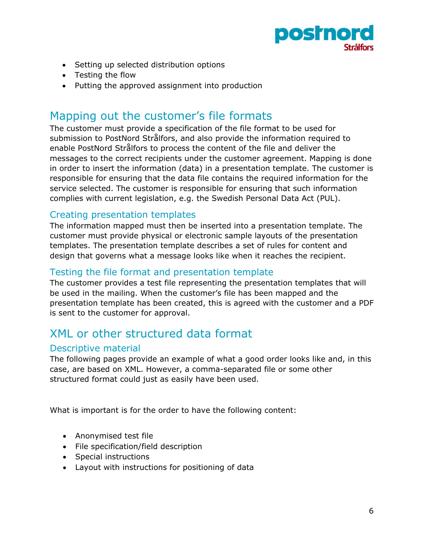

- Setting up selected distribution options
- Testing the flow
- Putting the approved assignment into production

## <span id="page-6-0"></span>Mapping out the customer's file formats

The customer must provide a specification of the file format to be used for submission to PostNord Strålfors, and also provide the information required to enable PostNord Strålfors to process the content of the file and deliver the messages to the correct recipients under the customer agreement. Mapping is done in order to insert the information (data) in a presentation template. The customer is responsible for ensuring that the data file contains the required information for the service selected. The customer is responsible for ensuring that such information complies with current legislation, e.g. the Swedish Personal Data Act (PUL).

#### <span id="page-6-1"></span>Creating presentation templates

The information mapped must then be inserted into a presentation template. The customer must provide physical or electronic sample layouts of the presentation templates. The presentation template describes a set of rules for content and design that governs what a message looks like when it reaches the recipient.

#### <span id="page-6-2"></span>Testing the file format and presentation template

The customer provides a test file representing the presentation templates that will be used in the mailing. When the customer's file has been mapped and the presentation template has been created, this is agreed with the customer and a PDF is sent to the customer for approval.

## <span id="page-6-3"></span>XML or other structured data format

#### <span id="page-6-4"></span>Descriptive material

The following pages provide an example of what a good order looks like and, in this case, are based on XML. However, a comma-separated file or some other structured format could just as easily have been used.

What is important is for the order to have the following content:

- Anonymised test file
- File specification/field description
- Special instructions
- Layout with instructions for positioning of data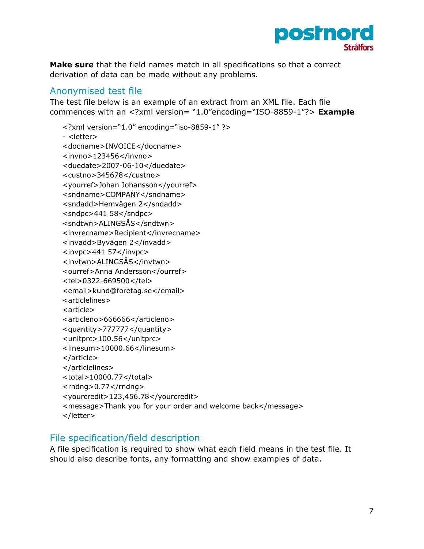

**Make sure** that the field names match in all specifications so that a correct derivation of data can be made without any problems.

#### <span id="page-7-0"></span>Anonymised test file

The test file below is an example of an extract from an XML file. Each file commences with an <?xml version= "1.0"encoding="ISO-8859-1"?> **Example** 

```
<?xml version="1.0" encoding="iso-8859-1" ?> 
- <letter> 
<docname>INVOICE</docname> 
<invno>123456</invno> 
<duedate>2007-06-10</duedate> 
<custno>345678</custno> 
<yourref>Johan Johansson</yourref> 
<sndname>COMPANY</sndname> 
<sndadd>Hemvägen 2</sndadd> 
<sndpc>441 58</sndpc><sndtwn>ALINGSÅS</sndtwn> 
<invrecname>Recipient</invrecname> 
<invadd>Byvägen 2</invadd> 
<invpc>441 57</invpc><invtwn>ALINGSÅS</invtwn> 
<ourref>Anna Andersson</ourref> 
<tel>0322-669500</tel> 
<email>kund@foretag.se</email> 
<articlelines> 
<article> 
<articleno>666666</articleno> 
<quantity>777777</quantity> 
<unitprc>100.56</unitprc> 
<linesum>10000.66</linesum> 
</article> 
</articlelines> 
<total>10000.77</total> 
<rndng>0.77</rndng><yourcredit>123,456.78</yourcredit> 
<message>Thank you for your order and welcome back</message> 
</letter>
```
#### <span id="page-7-1"></span>File specification/field description

A file specification is required to show what each field means in the test file. It should also describe fonts, any formatting and show examples of data.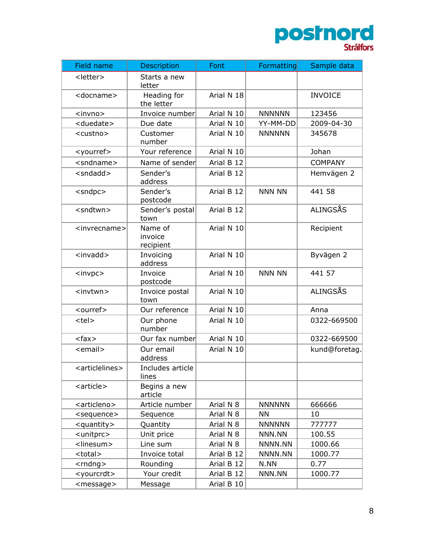

| Field name                    | Description                     | Font       | Formatting    | Sample data    |
|-------------------------------|---------------------------------|------------|---------------|----------------|
| <letter></letter>             | Starts a new<br>letter          |            |               |                |
| <docname></docname>           | Heading for<br>the letter       | Arial N 18 |               | <b>INVOICE</b> |
| <invno></invno>               | Invoice number                  | Arial N 10 | <b>NNNNNN</b> | 123456         |
| <duedate></duedate>           | Due date                        | Arial N 10 | YY-MM-DD      | 2009-04-30     |
| <custno></custno>             | Customer<br>number              | Arial N 10 | <b>NNNNNN</b> | 345678         |
| <yourref></yourref>           | Your reference                  | Arial N 10 |               | Johan          |
| <sndname></sndname>           | Name of sender                  | Arial B 12 |               | <b>COMPANY</b> |
| <sndadd></sndadd>             | Sender's<br>address             | Arial B 12 |               | Hemvägen 2     |
| $<$ sndpc $>$                 | Sender's<br>postcode            | Arial B 12 | <b>NNN NN</b> | 441 58         |
| <sndtwn></sndtwn>             | Sender's postal<br>town         | Arial B 12 |               | ALINGSÅS       |
| <invrecname></invrecname>     | Name of<br>invoice<br>recipient | Arial N 10 |               | Recipient      |
| $<$ invadd $>$                | Invoicing<br>address            | Arial N 10 |               | Byvägen 2      |
| $<$ invpc $>$                 | Invoice<br>postcode             | Arial N 10 | <b>NNN NN</b> | 441 57         |
| <invtwn></invtwn>             | Invoice postal<br>town          | Arial N 10 |               | ALINGSÅS       |
| <ourref></ourref>             | Our reference                   | Arial N 10 |               | Anna           |
| <tel></tel>                   | Our phone<br>number             | Arial N 10 |               | 0322-669500    |
| $<$ fax $>$                   | Our fax number                  | Arial N 10 |               | 0322-669500    |
| <email></email>               | Our email<br>address            | Arial N 10 |               | kund@foretag.  |
| <articlelines></articlelines> | Includes article<br>lines       |            |               |                |
| <article></article>           | Begins a new<br>article         |            |               |                |
| <articleno></articleno>       | Article number                  | Arial N 8  | <b>NNNNNN</b> | 666666         |
| <sequence></sequence>         | Sequence                        | Arial N 8  | <b>NN</b>     | 10             |
| <quantity></quantity>         | Quantity                        | Arial N 8  | <b>NNNNNN</b> | 777777         |
| <unitprc></unitprc>           | Unit price                      | Arial N 8  | NNN.NN        | 100.55         |
| <linesum></linesum>           | Line sum                        | Arial N 8  | NNNN.NN       | 1000.66        |
| <total></total>               | Invoice total                   | Arial B 12 | NNNN.NN       | 1000.77        |
| $<$ rndng $>$                 | Rounding                        | Arial B 12 | N.NN          | 0.77           |
| <yourcrdt></yourcrdt>         | Your credit                     | Arial B 12 | NNN.NN        | 1000.77        |
| <message></message>           | Message                         | Arial B 10 |               |                |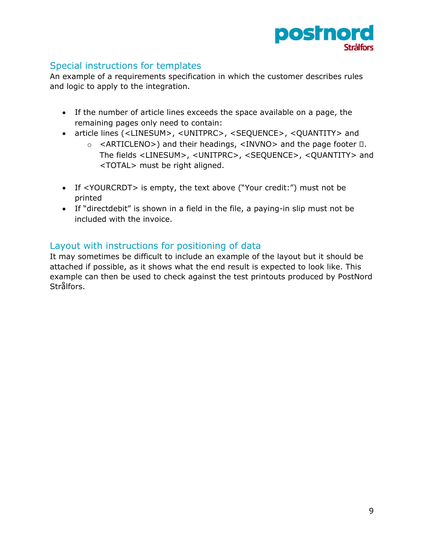

#### <span id="page-9-0"></span>Special instructions for templates

An example of a requirements specification in which the customer describes rules and logic to apply to the integration.

- If the number of article lines exceeds the space available on a page, the remaining pages only need to contain:
- article lines (<LINESUM>, <UNITPRC>, <SEQUENCE>, <QUANTITY> and
	- $\circ$  <ARTICLENO>) and their headings, <INVNO> and the page footer  $\Box$ . The fields <LINESUM>, <UNITPRC>, <SEQUENCE>, <QUANTITY> and <TOTAL> must be right aligned.
- If <YOURCRDT> is empty, the text above ("Your credit:") must not be printed
- If "directdebit" is shown in a field in the file, a paying-in slip must not be included with the invoice.

#### <span id="page-9-1"></span>Layout with instructions for positioning of data

It may sometimes be difficult to include an example of the layout but it should be attached if possible, as it shows what the end result is expected to look like. This example can then be used to check against the test printouts produced by PostNord Strålfors.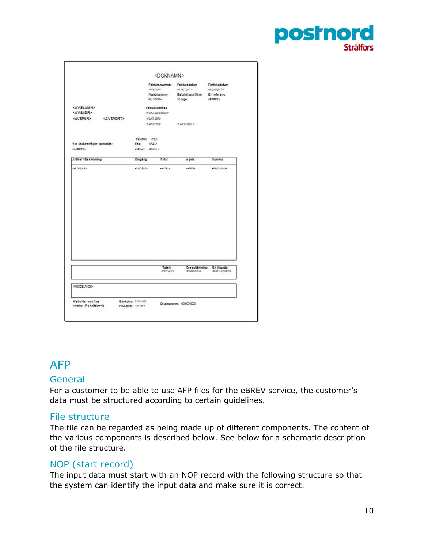

|                                             |                       |                      | <doknamn></doknamn>                     |                                                  |                                                       |
|---------------------------------------------|-----------------------|----------------------|-----------------------------------------|--------------------------------------------------|-------------------------------------------------------|
|                                             |                       |                      |                                         | Fakturanummer Fakturadatum<br><b>GAKTOAT&gt;</b> | Förfallodatum<br><br>CAFDAT>                          |
|                                             |                       |                      | Kundnummer<br><b>GEU NONR&gt;</b>       | Betainingsvillkor Er referens<br>10 dagar        | <bref></bref>                                         |
| <av\$namn><br/><avsadr></avsadr></av\$namn> |                       |                      | Fakturaadress<br><b>GAKTADRIAUN&gt;</b> |                                                  |                                                       |
| <avspnr></avspnr>                           | <av\$port></av\$port> |                      | <b>GAKTADR-</b>                         |                                                  |                                                       |
|                                             |                       |                      | <b>GAKTRIPS</b>                         |                                                  |                                                       |
|                                             |                       | Telefon: <tel></tel> |                                         |                                                  |                                                       |
| Vid fakturafrågor kontakta:                 |                       | Fax:                 | 4430                                    |                                                  |                                                       |
|                                             |                       |                      | e-Post EUAID                            |                                                  |                                                       |
| Artikel / Beskrivning                       |                       | Omoána               | Antal                                   | a pric                                           | <b>Burnma</b>                                         |
| 420702-024                                  |                       | vous kvor            | 1005726.1                               | 120221                                           | 422052859                                             |
|                                             |                       |                      |                                         |                                                  |                                                       |
|                                             |                       |                      |                                         |                                                  |                                                       |
|                                             |                       |                      | Totalt<br>COTALT>                       | <b>CRESUTJA</b>                                  | Orecutamning: Er tiligodo:<br><rtill0000></rtill0000> |
|                                             |                       |                      |                                         |                                                  |                                                       |

# <span id="page-10-0"></span>AFP

#### <span id="page-10-1"></span>**General**

For a customer to be able to use AFP files for the eBREV service, the customer's data must be structured according to certain guidelines.

#### <span id="page-10-2"></span>File structure

The file can be regarded as being made up of different components. The content of the various components is described below. See below for a schematic description of the file structure.

#### <span id="page-10-3"></span>NOP (start record)

The input data must start with an NOP record with the following structure so that the system can identify the input data and make sure it is correct.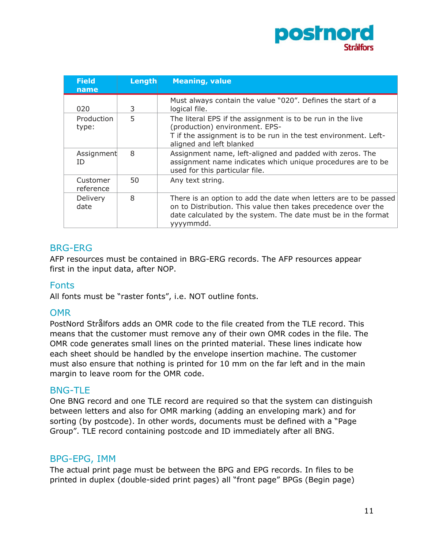

| <b>Field</b><br>name  | Length | <b>Meaning, value</b>                                                                                                                                                                                           |
|-----------------------|--------|-----------------------------------------------------------------------------------------------------------------------------------------------------------------------------------------------------------------|
| 020                   | 3      | Must always contain the value "020". Defines the start of a<br>logical file.                                                                                                                                    |
| Production<br>type:   | 5      | The literal EPS if the assignment is to be run in the live<br>(production) environment. EPS-<br>T if the assignment is to be run in the test environment. Left-<br>aligned and left blanked                     |
| Assignment<br>ΙD      | 8      | Assignment name, left-aligned and padded with zeros. The<br>assignment name indicates which unique procedures are to be<br>used for this particular file.                                                       |
| Customer<br>reference | 50     | Any text string.                                                                                                                                                                                                |
| Delivery<br>date      | 8      | There is an option to add the date when letters are to be passed<br>on to Distribution. This value then takes precedence over the<br>date calculated by the system. The date must be in the format<br>yyyymmdd. |

#### <span id="page-11-0"></span>BRG-ERG

AFP resources must be contained in BRG-ERG records. The AFP resources appear first in the input data, after NOP.

#### <span id="page-11-1"></span>Fonts

All fonts must be "raster fonts", i.e. NOT outline fonts.

#### <span id="page-11-2"></span>**OMR**

PostNord Strålfors adds an OMR code to the file created from the TLE record. This means that the customer must remove any of their own OMR codes in the file. The OMR code generates small lines on the printed material. These lines indicate how each sheet should be handled by the envelope insertion machine. The customer must also ensure that nothing is printed for 10 mm on the far left and in the main margin to leave room for the OMR code.

#### <span id="page-11-3"></span>BNG-TLE

One BNG record and one TLE record are required so that the system can distinguish between letters and also for OMR marking (adding an enveloping mark) and for sorting (by postcode). In other words, documents must be defined with a "Page Group". TLE record containing postcode and ID immediately after all BNG.

#### <span id="page-11-4"></span>BPG-EPG, IMM

The actual print page must be between the BPG and EPG records. In files to be printed in duplex (double-sided print pages) all "front page" BPGs (Begin page)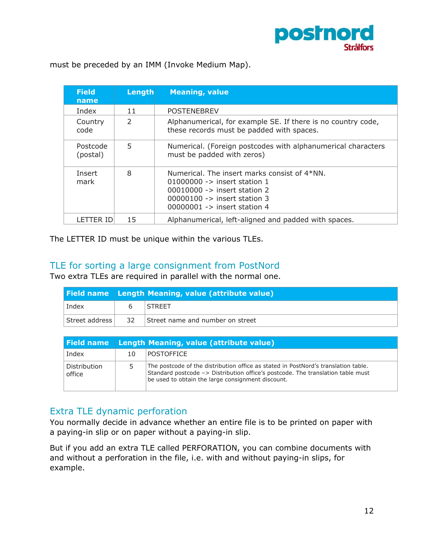

must be preceded by an IMM (Invoke Medium Map).

| <b>Field</b><br>name | Length        | <b>Meaning, value</b>                                                                                                                                                                                           |
|----------------------|---------------|-----------------------------------------------------------------------------------------------------------------------------------------------------------------------------------------------------------------|
| Index                | 11            | <b>POSTENEBREV</b>                                                                                                                                                                                              |
| Country<br>code      | $\mathcal{P}$ | Alphanumerical, for example SE. If there is no country code,<br>these records must be padded with spaces.                                                                                                       |
| Postcode<br>(postal) | 5             | Numerical. (Foreign postcodes with alphanumerical characters<br>must be padded with zeros)                                                                                                                      |
| Insert<br>mark       | 8             | Numerical. The insert marks consist of 4*NN.<br>$01000000 - \frac{1}{2}$ insert station 1<br>00010000 -> insert station 2<br>$00000100 \rightarrow$ insert station 3<br>$00000001 \rightarrow$ insert station 4 |
| LETTER ID            | 15            | Alphanumerical, left-aligned and padded with spaces.                                                                                                                                                            |

The LETTER ID must be unique within the various TLEs.

#### <span id="page-12-0"></span>TLE for sorting a large consignment from PostNord

Two extra TLEs are required in parallel with the normal one.

|                |    | <b>Field name Length Meaning, value (attribute value)</b> |
|----------------|----|-----------------------------------------------------------|
| Index          |    | <b>STREET</b>                                             |
| Street address | 32 | Street name and number on street                          |

| Field name             |    | Length Meaning, value (attribute value)                                                                                                                                                                                    |
|------------------------|----|----------------------------------------------------------------------------------------------------------------------------------------------------------------------------------------------------------------------------|
| Index                  | 10 | <b>POSTOFFICE</b>                                                                                                                                                                                                          |
| Distribution<br>office | 5. | The postcode of the distribution office as stated in PostNord's translation table.<br>Standard postcode -> Distribution office's postcode. The translation table must<br>be used to obtain the large consignment discount. |

#### <span id="page-12-1"></span>Extra TLE dynamic perforation

You normally decide in advance whether an entire file is to be printed on paper with a paying-in slip or on paper without a paying-in slip.

But if you add an extra TLE called PERFORATION, you can combine documents with and without a perforation in the file, i.e. with and without paying-in slips, for example.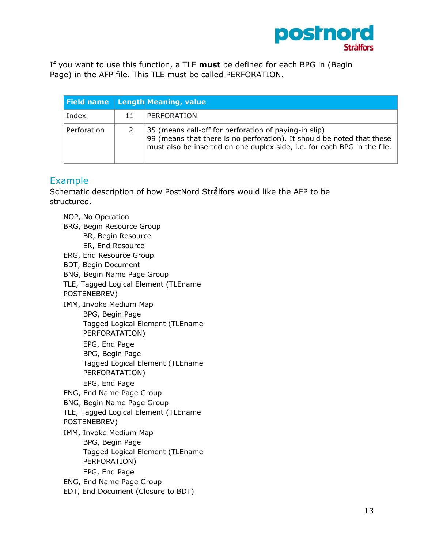

If you want to use this function, a TLE **must** be defined for each BPG in (Begin Page) in the AFP file. This TLE must be called PERFORATION.

|             |    | <b>Field name Length Meaning, value</b>                                                                                                                                                                     |
|-------------|----|-------------------------------------------------------------------------------------------------------------------------------------------------------------------------------------------------------------|
| Index       | 11 | PERFORATION                                                                                                                                                                                                 |
| Perforation |    | 35 (means call-off for perforation of paying-in slip)<br>99 (means that there is no perforation). It should be noted that these<br>must also be inserted on one duplex side, i.e. for each BPG in the file. |

#### <span id="page-13-0"></span>Example

Schematic description of how PostNord Strålfors would like the AFP to be structured.

NOP, No Operation BRG, Begin Resource Group BR, Begin Resource ER, End Resource ERG, End Resource Group BDT, Begin Document BNG, Begin Name Page Group TLE, Tagged Logical Element (TLEname POSTENEBREV) IMM, Invoke Medium Map BPG, Begin Page Tagged Logical Element (TLEname PERFORATATION) EPG, End Page BPG, Begin Page Tagged Logical Element (TLEname PERFORATATION) EPG, End Page ENG, End Name Page Group BNG, Begin Name Page Group TLE, Tagged Logical Element (TLEname POSTENEBREV) IMM, Invoke Medium Map BPG, Begin Page Tagged Logical Element (TLEname PERFORATION) EPG, End Page ENG, End Name Page Group EDT, End Document (Closure to BDT)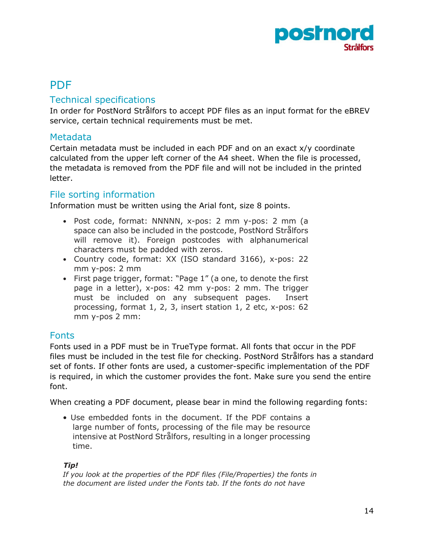

## <span id="page-14-0"></span>PDF

#### <span id="page-14-1"></span>Technical specifications

In order for PostNord Strålfors to accept PDF files as an input format for the eBREV service, certain technical requirements must be met.

#### <span id="page-14-2"></span>Metadata

Certain metadata must be included in each PDF and on an exact x/y coordinate calculated from the upper left corner of the A4 sheet. When the file is processed, the metadata is removed from the PDF file and will not be included in the printed letter.

#### <span id="page-14-3"></span>File sorting information

Information must be written using the Arial font, size 8 points.

- Post code, format: NNNNN, x-pos: 2 mm y-pos: 2 mm (a space can also be included in the postcode, PostNord Strålfors will remove it). Foreign postcodes with alphanumerical characters must be padded with zeros.
- Country code, format: XX (ISO standard 3166), x-pos: 22 mm y-pos: 2 mm
- First page trigger, format: "Page 1" (a one, to denote the first page in a letter), x-pos: 42 mm y-pos: 2 mm. The trigger must be included on any subsequent pages. Insert processing, format 1, 2, 3, insert station 1, 2 etc, x-pos: 62 mm y-pos 2 mm:

#### <span id="page-14-4"></span>Fonts

Fonts used in a PDF must be in TrueType format. All fonts that occur in the PDF files must be included in the test file for checking. PostNord Strålfors has a standard set of fonts. If other fonts are used, a customer-specific implementation of the PDF is required, in which the customer provides the font. Make sure you send the entire font.

When creating a PDF document, please bear in mind the following regarding fonts:

• Use embedded fonts in the document. If the PDF contains a large number of fonts, processing of the file may be resource intensive at PostNord Strålfors, resulting in a longer processing time.

#### *Tip!*

*If you look at the properties of the PDF files (File/Properties) the fonts in the document are listed under the Fonts tab. If the fonts do not have*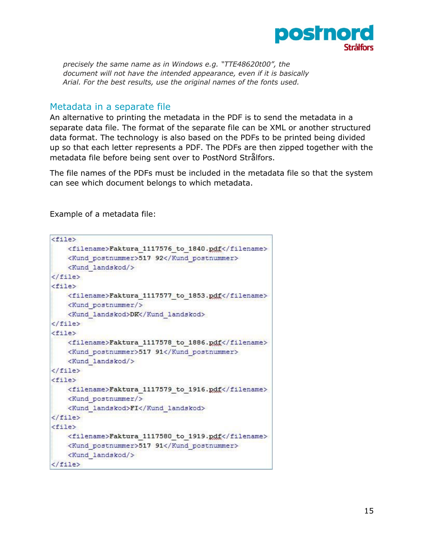

*precisely the same name as in Windows e.g. "TTE48620t00", the document will not have the intended appearance, even if it is basically Arial. For the best results, use the original names of the fonts used.* 

#### <span id="page-15-0"></span>Metadata in a separate file

An alternative to printing the metadata in the PDF is to send the metadata in a separate data file. The format of the separate file can be XML or another structured data format. The technology is also based on the PDFs to be printed being divided up so that each letter represents a PDF. The PDFs are then zipped together with the metadata file before being sent over to PostNord Strålfors.

The file names of the PDFs must be included in the metadata file so that the system can see which document belongs to which metadata.

Example of a metadata file:

```
<file>
    <filename>Faktura 1117576 to 1840.pdf</filename>
   <Kund postnummer>517 92</Kund postnummer>
   <Kund landskod/>
\langle/file>
<file><filename>Faktura 1117577 to 1853.pdf</filename>
   <Kund postnummer/>
   <Kund landskod>DK</Kund landskod>
\langlefile>
<file><filename>Faktura 1117578 to 1886.pdf</filename>
    <Kund postnummer>517 91</Kund postnummer>
    <Kund landskod/>
\langle/file>
<file>
    <filename>Faktura 1117579 to 1916.pdf</filename>
    <Kund postnummer/>
   <Kund landskod>FI</Kund landskod>
\langle/file>
<file>
    <filename>Faktura 1117580 to 1919.pdf</filename>
   <Kund postnummer>517 91</Kund postnummer>
   <Kund landskod/>
\langle file>
```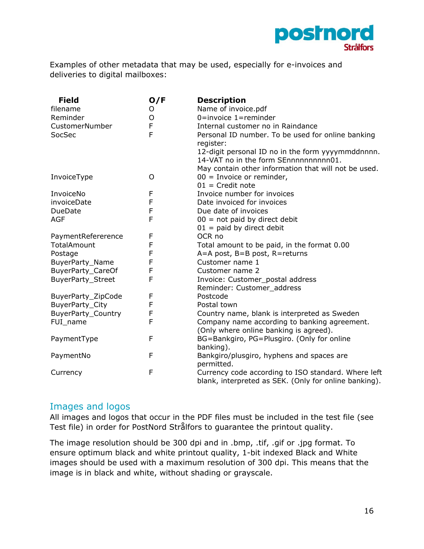

Examples of other metadata that may be used, especially for e-invoices and deliveries to digital mailboxes:

| <b>Field</b>              | O/F | <b>Description</b>                                    |
|---------------------------|-----|-------------------------------------------------------|
| filename                  | O   | Name of invoice.pdf                                   |
| Reminder                  | O   | $0 =$ invoice $1 =$ reminder                          |
| CustomerNumber            | F   | Internal customer no in Raindance                     |
| SocSec                    | F   | Personal ID number. To be used for online banking     |
|                           |     | register:                                             |
|                           |     | 12-digit personal ID no in the form yyyymmddnnnn.     |
|                           |     | 14-VAT no in the form SEnnnnnnnnnn01.                 |
|                           |     | May contain other information that will not be used.  |
| InvoiceType               | O   | $00 =$ Invoice or reminder,                           |
|                           |     | $01$ = Credit note                                    |
| InvoiceNo                 | F   | Invoice number for invoices                           |
| invoiceDate               | F   | Date invoiced for invoices                            |
| DueDate                   | F   | Due date of invoices                                  |
| <b>AGF</b>                | F   | $00 = not paid by direct debt$                        |
|                           |     | $01$ = paid by direct debit                           |
| PaymentRefererence        | F   | OCR <sub>no</sub>                                     |
| TotalAmount               | F   | Total amount to be paid, in the format 0.00           |
| Postage                   | F   | A=A post, B=B post, R=returns                         |
| BuyerParty_Name           | F   | Customer name 1                                       |
| BuyerParty_CareOf         | F   | Customer name 2                                       |
| <b>BuyerParty_Street</b>  | F   | Invoice: Customer_postal address                      |
|                           |     | Reminder: Customer address                            |
| BuyerParty_ZipCode        | F   | Postcode                                              |
| BuyerParty_City           | F   | Postal town                                           |
| <b>BuyerParty_Country</b> | F   | Country name, blank is interpreted as Sweden          |
| FUI_name                  | F   | Company name according to banking agreement.          |
|                           |     | (Only where online banking is agreed).                |
| PaymentType               | F   | BG=Bankgiro, PG=Plusgiro. (Only for online            |
|                           |     | banking).                                             |
| PaymentNo                 | F   | Bankgiro/plusgiro, hyphens and spaces are             |
|                           |     | permitted.                                            |
| Currency                  | F   | Currency code according to ISO standard. Where left   |
|                           |     | blank, interpreted as SEK. (Only for online banking). |

#### <span id="page-16-0"></span>Images and logos

All images and logos that occur in the PDF files must be included in the test file (see Test file) in order for PostNord Strålfors to guarantee the printout quality.

The image resolution should be 300 dpi and in .bmp, .tif, .gif or .jpg format. To ensure optimum black and white printout quality, 1-bit indexed Black and White images should be used with a maximum resolution of 300 dpi. This means that the image is in black and white, without shading or grayscale.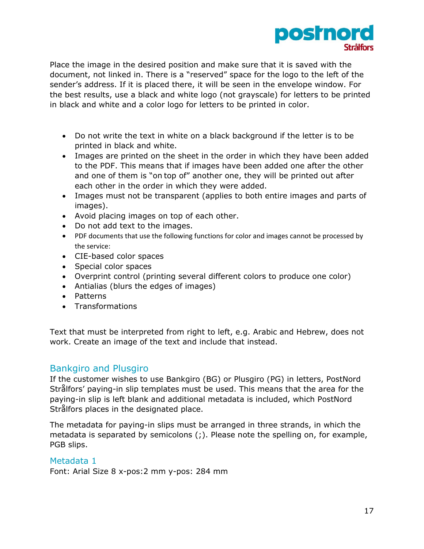

Place the image in the desired position and make sure that it is saved with the document, not linked in. There is a "reserved" space for the logo to the left of the sender's address. If it is placed there, it will be seen in the envelope window. For the best results, use a black and white logo (not grayscale) for letters to be printed in black and white and a color logo for letters to be printed in color.

- Do not write the text in white on a black background if the letter is to be printed in black and white.
- Images are printed on the sheet in the order in which they have been added to the PDF. This means that if images have been added one after the other and one of them is "on top of" another one, they will be printed out after each other in the order in which they were added.
- Images must not be transparent (applies to both entire images and parts of images).
- Avoid placing images on top of each other.
- Do not add text to the images.
- PDF documents that use the following functions for color and images cannot be processed by the service:
- CIE-based color spaces
- Special color spaces
- Overprint control (printing several different colors to produce one color)
- Antialias (blurs the edges of images)
- Patterns
- Transformations

Text that must be interpreted from right to left, e.g. Arabic and Hebrew, does not work. Create an image of the text and include that instead.

#### <span id="page-17-0"></span>Bankgiro and Plusgiro

If the customer wishes to use Bankgiro (BG) or Plusgiro (PG) in letters, PostNord Strålfors' paying-in slip templates must be used. This means that the area for the paying-in slip is left blank and additional metadata is included, which PostNord Strålfors places in the designated place.

The metadata for paying-in slips must be arranged in three strands, in which the metadata is separated by semicolons (;). Please note the spelling on, for example, PGB slips.

#### <span id="page-17-1"></span>Metadata 1

Font: Arial Size 8 x-pos:2 mm y-pos: 284 mm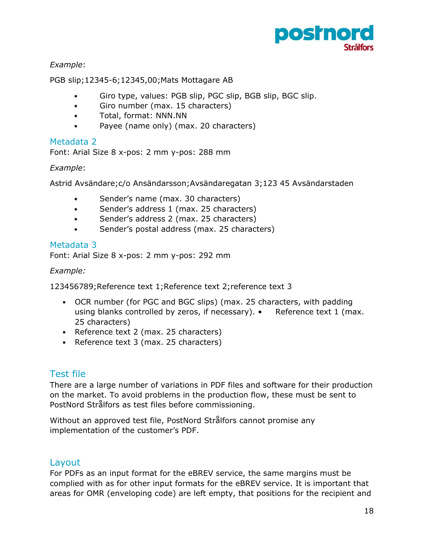

#### *Example*:

PGB slip;12345-6;12345,00;Mats Mottagare AB

- Giro type, values: PGB slip, PGC slip, BGB slip, BGC slip.
- Giro number (max. 15 characters)
- Total, format: NNN.NN
- Payee (name only) (max. 20 characters)

#### <span id="page-18-0"></span>Metadata 2

Font: Arial Size 8 x-pos: 2 mm y-pos: 288 mm

#### *Example*:

Astrid Avsändare;c/o Ansändarsson;Avsändaregatan 3;123 45 Avsändarstaden

- Sender's name (max. 30 characters)
- Sender's address 1 (max. 25 characters)
- Sender's address 2 (max. 25 characters)
- Sender's postal address (max. 25 characters)

#### <span id="page-18-1"></span>Metadata 3

Font: Arial Size 8 x-pos: 2 mm y-pos: 292 mm

#### *Example:*

123456789;Reference text 1;Reference text 2;reference text 3

- OCR number (for PGC and BGC slips) (max. 25 characters, with padding using blanks controlled by zeros, if necessary). • Reference text 1 (max. 25 characters)
- Reference text 2 (max. 25 characters)
- Reference text 3 (max. 25 characters)

#### <span id="page-18-2"></span>Test file

There are a large number of variations in PDF files and software for their production on the market. To avoid problems in the production flow, these must be sent to PostNord Strålfors as test files before commissioning.

Without an approved test file, PostNord Strålfors cannot promise any implementation of the customer's PDF.

#### <span id="page-18-3"></span>Layout

For PDFs as an input format for the eBREV service, the same margins must be complied with as for other input formats for the eBREV service. It is important that areas for OMR (enveloping code) are left empty, that positions for the recipient and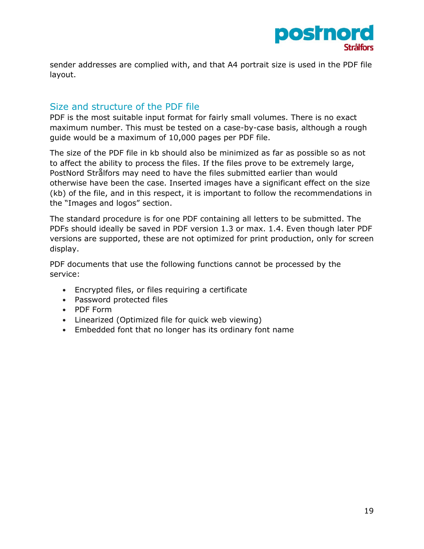

sender addresses are complied with, and that A4 portrait size is used in the PDF file layout.

#### <span id="page-19-0"></span>Size and structure of the PDF file

PDF is the most suitable input format for fairly small volumes. There is no exact maximum number. This must be tested on a case-by-case basis, although a rough guide would be a maximum of 10,000 pages per PDF file.

The size of the PDF file in kb should also be minimized as far as possible so as not to affect the ability to process the files. If the files prove to be extremely large, PostNord Strålfors may need to have the files submitted earlier than would otherwise have been the case. Inserted images have a significant effect on the size (kb) of the file, and in this respect, it is important to follow the recommendations in the "Images and logos" section.

The standard procedure is for one PDF containing all letters to be submitted. The PDFs should ideally be saved in PDF version 1.3 or max. 1.4. Even though later PDF versions are supported, these are not optimized for print production, only for screen display.

PDF documents that use the following functions cannot be processed by the service:

- Encrypted files, or files requiring a certificate
- Password protected files
- PDF Form
- Linearized (Optimized file for quick web viewing)
- Embedded font that no longer has its ordinary font name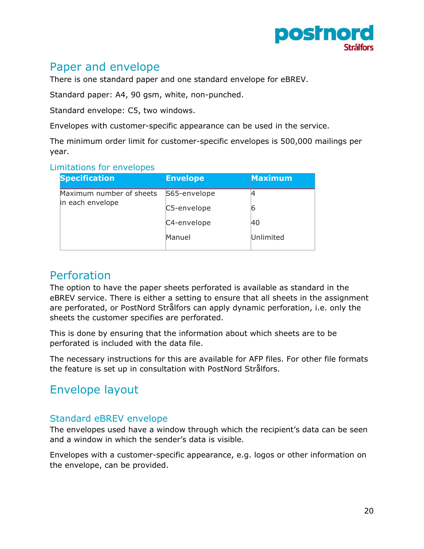

## <span id="page-20-0"></span>Paper and envelope

There is one standard paper and one standard envelope for eBREV.

Standard paper: A4, 90 gsm, white, non-punched.

Standard envelope: C5, two windows.

Envelopes with customer-specific appearance can be used in the service.

The minimum order limit for customer-specific envelopes is 500,000 mailings per year.

#### <span id="page-20-1"></span>Limitations for envelopes

| <b>Specification</b>                         | <b>Envelope</b> | <b>Maximum</b> |
|----------------------------------------------|-----------------|----------------|
| Maximum number of sheets<br>in each envelope | S65-envelope    |                |
|                                              | C5-envelope     | ю              |
|                                              | C4-envelope     | 40             |
|                                              | Manuel          | Unlimited      |

## <span id="page-20-2"></span>Perforation

The option to have the paper sheets perforated is available as standard in the eBREV service. There is either a setting to ensure that all sheets in the assignment are perforated, or PostNord Strålfors can apply dynamic perforation, i.e. only the sheets the customer specifies are perforated.

This is done by ensuring that the information about which sheets are to be perforated is included with the data file.

The necessary instructions for this are available for AFP files. For other file formats the feature is set up in consultation with PostNord Strålfors.

# <span id="page-20-3"></span>Envelope layout

#### <span id="page-20-4"></span>Standard eBREV envelope

The envelopes used have a window through which the recipient's data can be seen and a window in which the sender's data is visible.

Envelopes with a customer-specific appearance, e.g. logos or other information on the envelope, can be provided.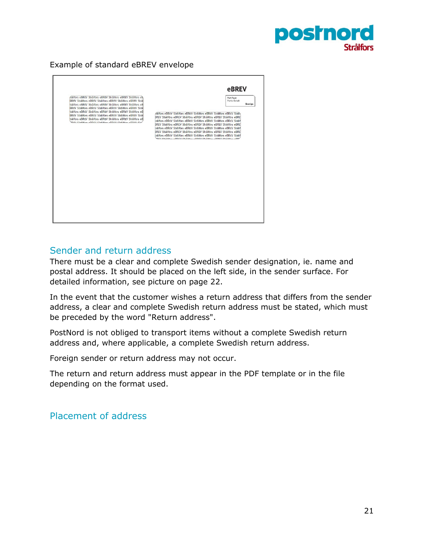

#### Example of standard eBREV envelope

| Galfors eBRFV Stralfors eBRFV Stralfors eBRFV Stralfors eB<br>BREV Strålfors eBREV Strålfors eBREV Strålfors eBREV Strål<br>trålfors eBREV Strålfors eBREV Strålfors eBREV Strålfors eB<br>BREV Strålfors eBREV Strålfors eBREV Strålfors eBREV Strål<br>trålfors eBREV Strålfors eBREV Strålfors eBREV Strålfors eB<br>BRFV Strålfors eBRFV Strålfors eBRFV Strålfors eBRFV Strål<br>trålfors eBREV Strålfors eBREV Strålfors eBREV Strålfors eB<br>DEL CI-line -DOCL CI-line -DOCL CI-line -DOCL CI- | eBREV<br>Port Pave<br>Porto Betalt<br>Sverige<br>diffors eBREV Stratfors eBREV Stratfors eBREV Stratfors eBREV Stratb<br>BREV Strålfors eBREV Strålfors eBREV Strålfors eBREV Strålfors eBRE<br>trålfors eBREV Strålfors eBREV Strålfors eBREV Strålfors eBREV Strålf<br>BREV Strålfors eBREV Strålfors eBREV Strålfors eBREV Strålfors eBRE<br>trålfors eBREV Strålfors eBREV Strålfors eBREV Strålfors eBREV Strålf<br>BREV Strålfors eBREV Strålfors eBREV Strålfors eBREV Strålfors eBRE<br>trålfors eBREV Strålfors eBREV Strålfors eBREV Strålfors eBREV Strålf<br>OEL Ctrilligen a DDEV Ctrilligen a DDEV Ctrilligen a DDEV Ctrilligen a DD |
|--------------------------------------------------------------------------------------------------------------------------------------------------------------------------------------------------------------------------------------------------------------------------------------------------------------------------------------------------------------------------------------------------------------------------------------------------------------------------------------------------------|----------------------------------------------------------------------------------------------------------------------------------------------------------------------------------------------------------------------------------------------------------------------------------------------------------------------------------------------------------------------------------------------------------------------------------------------------------------------------------------------------------------------------------------------------------------------------------------------------------------------------------------------------|
|                                                                                                                                                                                                                                                                                                                                                                                                                                                                                                        |                                                                                                                                                                                                                                                                                                                                                                                                                                                                                                                                                                                                                                                    |

#### <span id="page-21-0"></span>Sender and return address

There must be a clear and complete Swedish sender designation, ie. name and postal address. It should be placed on the left side, in the sender surface. For detailed information, see picture on page 22.

In the event that the customer wishes a return address that differs from the sender address, a clear and complete Swedish return address must be stated, which must be preceded by the word "Return address".

PostNord is not obliged to transport items without a complete Swedish return address and, where applicable, a complete Swedish return address.

Foreign sender or return address may not occur.

The return and return address must appear in the PDF template or in the file depending on the format used.

#### <span id="page-21-1"></span>Placement of address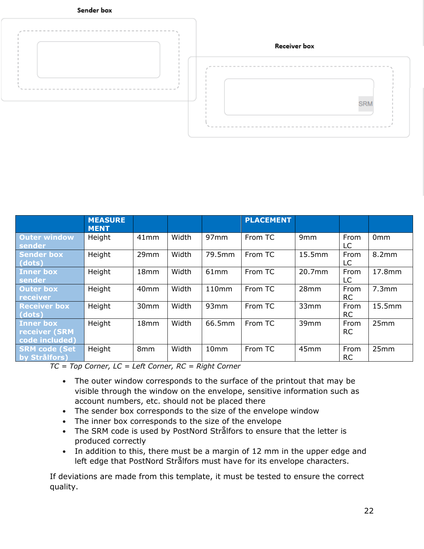



|                                                            | <b>MEASURE</b><br><b>MENT</b> |                  |       |        | <b>PLACEMENT</b> |                 |                   |                 |
|------------------------------------------------------------|-------------------------------|------------------|-------|--------|------------------|-----------------|-------------------|-----------------|
| <b>Outer window</b><br>sender                              | Height                        | 41mm             | Width | 97mm   | From TC          | 9 <sub>mm</sub> | From<br>LC        | 0 <sub>mm</sub> |
| <b>Sender box</b><br>(dots)                                | Height                        | 29mm             | Width | 79.5mm | From TC          | 15.5mm          | From<br>LC        | 8.2mm           |
| <b>Inner box</b><br>sender                                 | Height                        | 18 <sub>mm</sub> | Width | 61mm   | From TC          | 20.7mm          | From<br>LC.       | 17.8mm          |
| <b>Outer box</b><br>receiver                               | Height                        | 40mm             | Width | 110mm  | From TC          | 28mm            | From<br><b>RC</b> | 7.3mm           |
| <b>Receiver box</b><br>(dots)                              | Height                        | 30mm             | Width | 93mm   | From TC          | 33mm            | From<br><b>RC</b> | 15.5mm          |
| <b>Inner box</b><br><b>receiver (SRM</b><br>code included) | Height                        | 18mm             | Width | 66.5mm | From TC          | 39mm            | From<br><b>RC</b> | 25mm            |
| <b>SRM code (Set</b><br>by Strålfors)                      | Height                        | 8mm              | Width | 10mm   | From TC          | 45mm            | From<br><b>RC</b> | 25mm            |

*TC = Top Corner, LC = Left Corner, RC = Right Corner* 

- The outer window corresponds to the surface of the printout that may be visible through the window on the envelope, sensitive information such as account numbers, etc. should not be placed there
- The sender box corresponds to the size of the envelope window
- The inner box corresponds to the size of the envelope
- The SRM code is used by PostNord Strålfors to ensure that the letter is produced correctly
- In addition to this, there must be a margin of 12 mm in the upper edge and left edge that PostNord Strålfors must have for its envelope characters.

If deviations are made from this template, it must be tested to ensure the correct quality.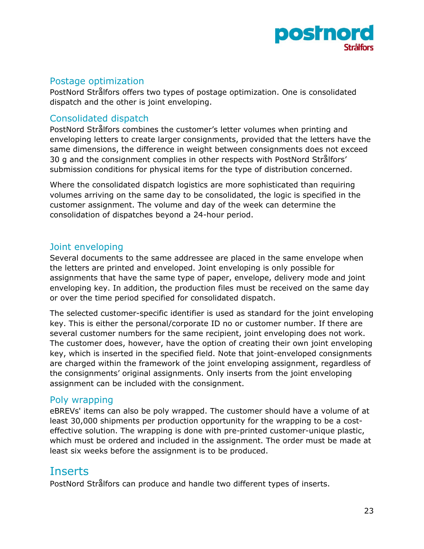

#### <span id="page-23-0"></span>Postage optimization

PostNord Strålfors offers two types of postage optimization. One is consolidated dispatch and the other is joint enveloping.

#### <span id="page-23-1"></span>Consolidated dispatch

PostNord Strålfors combines the customer's letter volumes when printing and enveloping letters to create larger consignments, provided that the letters have the same dimensions, the difference in weight between consignments does not exceed 30 g and the consignment complies in other respects with PostNord Strålfors' submission conditions for physical items for the type of distribution concerned.

Where the consolidated dispatch logistics are more sophisticated than requiring volumes arriving on the same day to be consolidated, the logic is specified in the customer assignment. The volume and day of the week can determine the consolidation of dispatches beyond a 24-hour period.

#### <span id="page-23-2"></span>Joint enveloping

Several documents to the same addressee are placed in the same envelope when the letters are printed and enveloped. Joint enveloping is only possible for assignments that have the same type of paper, envelope, delivery mode and joint enveloping key. In addition, the production files must be received on the same day or over the time period specified for consolidated dispatch.

The selected customer-specific identifier is used as standard for the joint enveloping key. This is either the personal/corporate ID no or customer number. If there are several customer numbers for the same recipient, joint enveloping does not work. The customer does, however, have the option of creating their own joint enveloping key, which is inserted in the specified field. Note that joint-enveloped consignments are charged within the framework of the joint enveloping assignment, regardless of the consignments' original assignments. Only inserts from the joint enveloping assignment can be included with the consignment.

#### <span id="page-23-3"></span>Poly wrapping

eBREVs' items can also be poly wrapped. The customer should have a volume of at least 30,000 shipments per production opportunity for the wrapping to be a costeffective solution. The wrapping is done with pre-printed customer-unique plastic, which must be ordered and included in the assignment. The order must be made at least six weeks before the assignment is to be produced.

## <span id="page-23-4"></span>Inserts

PostNord Strålfors can produce and handle two different types of inserts.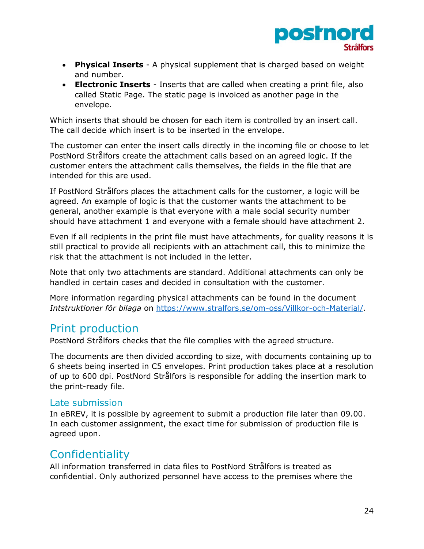

- **Physical Inserts** A physical supplement that is charged based on weight and number.
- **Electronic Inserts** Inserts that are called when creating a print file, also called Static Page. The static page is invoiced as another page in the envelope.

Which inserts that should be chosen for each item is controlled by an insert call. The call decide which insert is to be inserted in the envelope.

The customer can enter the insert calls directly in the incoming file or choose to let PostNord Strålfors create the attachment calls based on an agreed logic. If the customer enters the attachment calls themselves, the fields in the file that are intended for this are used.

If PostNord Strålfors places the attachment calls for the customer, a logic will be agreed. An example of logic is that the customer wants the attachment to be general, another example is that everyone with a male social security number should have attachment 1 and everyone with a female should have attachment 2.

Even if all recipients in the print file must have attachments, for quality reasons it is still practical to provide all recipients with an attachment call, this to minimize the risk that the attachment is not included in the letter.

Note that only two attachments are standard. Additional attachments can only be handled in certain cases and decided in consultation with the customer.

More information regarding physical attachments can be found in the document *Intstruktioner för bilaga* on [https://www.stralfors.se/om-oss/Villkor-och-Material/.](https://www.stralfors.se/om-oss/Villkor-och-Material/)

## <span id="page-24-0"></span>Print production

PostNord Strålfors checks that the file complies with the agreed structure.

The documents are then divided according to size, with documents containing up to 6 sheets being inserted in C5 envelopes. Print production takes place at a resolution of up to 600 dpi. PostNord Strålfors is responsible for adding the insertion mark to the print-ready file.

#### <span id="page-24-1"></span>Late submission

In eBREV, it is possible by agreement to submit a production file later than 09.00. In each customer assignment, the exact time for submission of production file is agreed upon.

## <span id="page-24-2"></span>**Confidentiality**

All information transferred in data files to PostNord Strålfors is treated as confidential. Only authorized personnel have access to the premises where the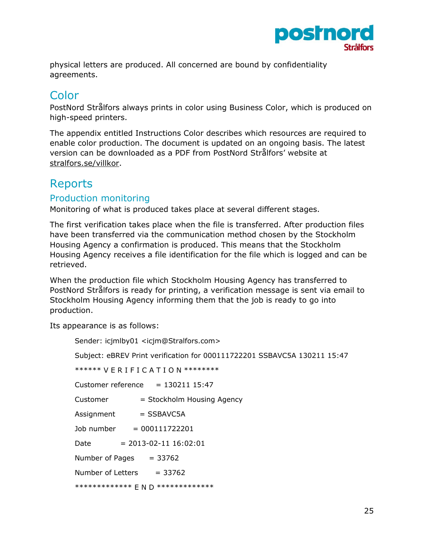

physical letters are produced. All concerned are bound by confidentiality agreements.

# <span id="page-25-0"></span>Color

PostNord Strålfors always prints in color using Business Color, which is produced on high-speed printers.

The appendix entitled Instructions Color describes which resources are required to enable color production. The document is updated on an ongoing basis. The latest version can be downloaded as a PDF from PostNord Strålfors' website at [stralfors.se/villkor.](http://www.stralfors.se/villkor)

## <span id="page-25-1"></span>**Reports**

#### <span id="page-25-2"></span>Production monitoring

Monitoring of what is produced takes place at several different stages.

The first verification takes place when the file is transferred. After production files have been transferred via the communication method chosen by the Stockholm Housing Agency a confirmation is produced. This means that the Stockholm Housing Agency receives a file identification for the file which is logged and can be retrieved.

When the production file which Stockholm Housing Agency has transferred to PostNord Strålfors is ready for printing, a verification message is sent via email to Stockholm Housing Agency informing them that the job is ready to go into production.

Its appearance is as follows:

| Sender: icjmlby01 <icjm@stralfors.com></icjm@stralfors.com>              |  |  |  |  |  |  |
|--------------------------------------------------------------------------|--|--|--|--|--|--|
| Subject: eBREV Print verification for 000111722201 SSBAVC5A 130211 15:47 |  |  |  |  |  |  |
| ****** VERIFICATION ********                                             |  |  |  |  |  |  |
| Customer reference $= 130211$ 15:47                                      |  |  |  |  |  |  |
| = Stockholm Housing Agency<br>Customer                                   |  |  |  |  |  |  |
| $Assignment$ = SSBAVC5A                                                  |  |  |  |  |  |  |
| Job number $= 000111722201$                                              |  |  |  |  |  |  |
| Date $= 2013-02-11 16:02:01$                                             |  |  |  |  |  |  |
| Number of Pages $= 33762$                                                |  |  |  |  |  |  |
| Number of Letters $= 33762$                                              |  |  |  |  |  |  |
| ************** F N D **************                                      |  |  |  |  |  |  |